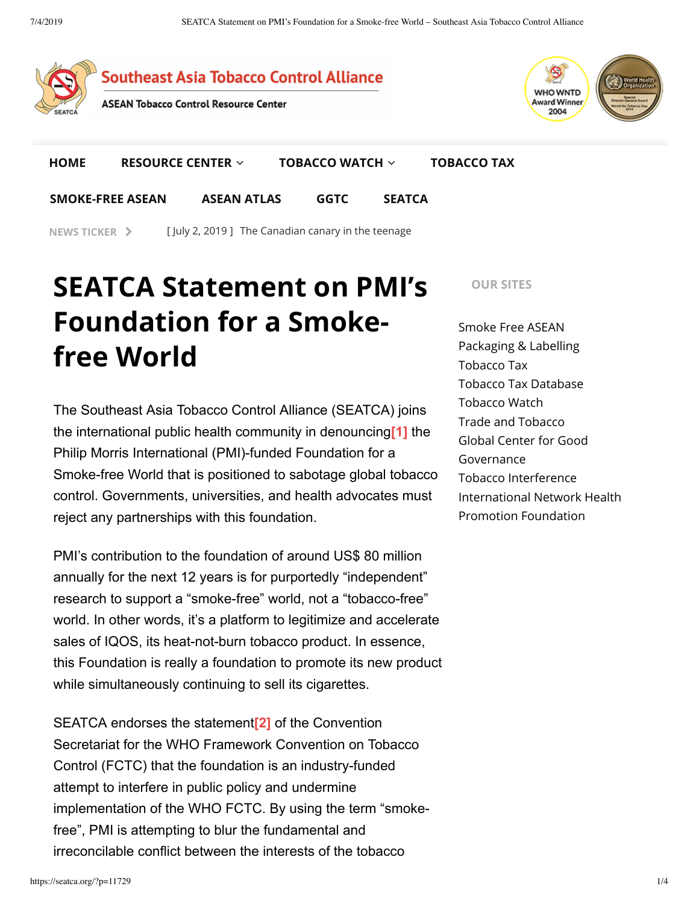

**NEWS TICKER > [July 2, 2019] The Canadian canary in the teenage** 

# **SEATCA Statement on PMI's Foundation for a Smokefree World**

The Southeast Asia Tobacco Control Alliance (SEATCA) joins the international public health community in denouncing<sup>[1]</sup> the Philip Morris International (PMI)-funded Foundation for a Smoke-free World that is positioned to sabotage global tobacco control. Governments, universities, and health advocates must reject any partnerships with this foundation.

PMI's contribution to the foundation of around US\$ 80 million annually for the next 12 years is for purportedly "independent" research to support a "smoke-free" world, not a "tobacco-free" world. In other words, it's a platform to legitimize and accelerate sales of IQOS, its heat-not-burn tobacco product. In essence, this Foundation is really a foundation to promote its new product while simultaneously continuing to sell its cigarettes.

SEATCA endorses the statement<sup>[2]</sup> of the Convention Secretariat for the WHO Framework Convention on Tobacco Control (FCTC) that the foundation is an industry-funded attempt to interfere in public policy and undermine implementation of the WHO FCTC. By using the term "smokefree", PMI is attempting to blur the fundamental and irreconcilable conflict between the interests of the tobacco

**OUR SITES**

Smoke Free ASEAN Packaging & Labelling Tobacco Tax Tobacco Tax Database Tobacco Watch Trade and Tobacco Global Center for Good Governance Tobacco Interference International Network Health Promotion Foundation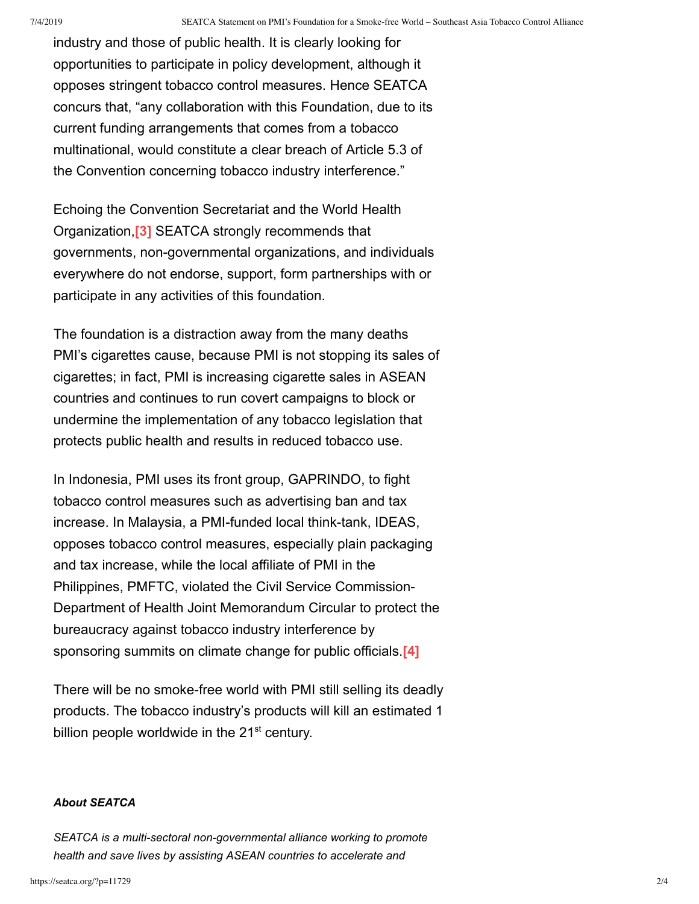industry and those of public health. It is clearly looking for opportunities to participate in policy development, although it opposes stringent tobacco control measures. Hence SEATCA concurs that, "any collaboration with this Foundation, due to its current funding arrangements that comes from a tobacco multinational, would constitute a clear breach of Article 5.3 of the Convention concerning tobacco industry interference."

Echoing the Convention Secretariat and the World Health Organization,**[3]** SEATCA strongly recommends that governments, non-governmental organizations, and individuals everywhere do not endorse, support, form partnerships with or participate in any activities of this foundation.

The foundation is a distraction away from the many deaths PMI's cigarettes cause, because PMI is not stopping its sales of cigarettes; in fact, PMI is increasing cigarette sales in ASEAN countries and continues to run covert campaigns to block or undermine the implementation of any tobacco legislation that protects public health and results in reduced tobacco use.

In Indonesia, PMI uses its front group, GAPRINDO, to fight tobacco control measures such as advertising ban and tax increase. In Malaysia, a PMI-funded local think-tank, IDEAS, opposes tobacco control measures, especially plain packaging and tax increase, while the local affiliate of PMI in the Philippines, PMFTC, violated the Civil Service Commission-Department of Health Joint Memorandum Circular to protect the bureaucracy against tobacco industry interference by sponsoring summits on climate change for public officials [4]

There will be no smoke-free world with PMI still selling its deadly products. The tobacco industry's products will kill an estimated 1 billion people worldwide in the  $21^{st}$  century.

#### *About SEATCA*

*SEATCA is a multi-sectoral non-governmental alliance working to promote health and save lives by assisting ASEAN countries to accelerate and*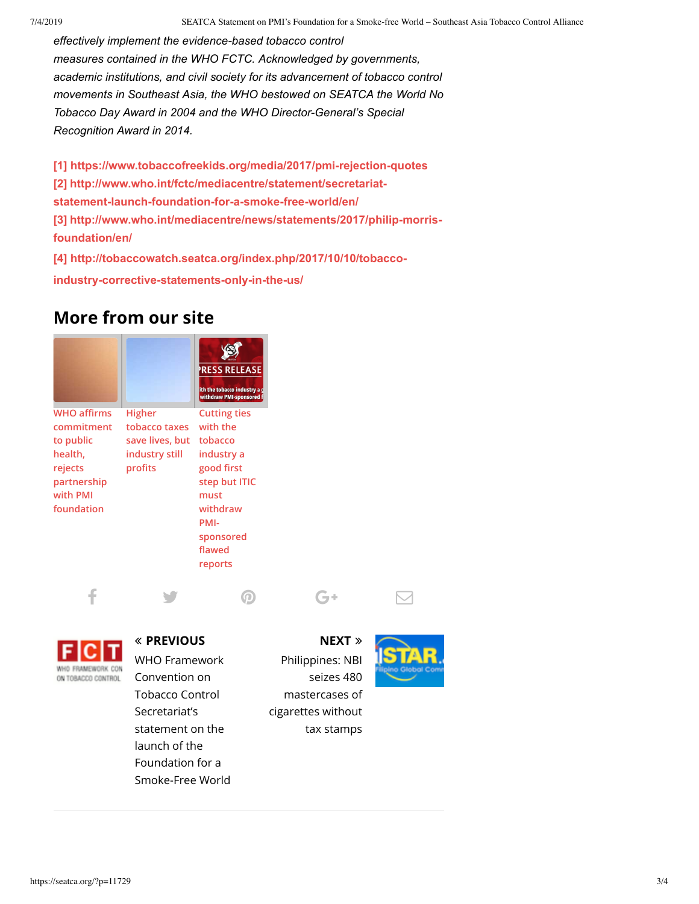*effectively implement the evidence-based tobacco control measures contained in the WHO FCTC. Acknowledged by governments, academic institutions, and civil society for its advancement of tobacco control movements in Southeast Asia, the WHO bestowed on SEATCA the World No Tobacco Day Award in 2004 and the WHO Director-General's Special Recognition Award in 2014.*

**[1] https://www.tobaccofreekids.org/media/2017/pmi-rejection-quotes [2] http://www.who.int/fctc/mediacentre/statement/secretariatstatement-launch-foundation-for-a-smoke-free-world/en/ [3] http://www.who.int/mediacentre/news/statements/2017/philip-morrisfoundation/en/**

 $f$  is the contract of  $\Theta^+$  . In  $\Box$ 

**[4] http://tobaccowatch.seatca.org/index.php/2017/10/10/tobacco-**

**industry-corrective-statements-only-in-the-us/**

## **More from our site**

|                                                                                                              |                                                                         | <b>RESS RELEASE</b><br>ith the tobacco industry a g<br>withdraw PMI-sponsored f                                                                       |
|--------------------------------------------------------------------------------------------------------------|-------------------------------------------------------------------------|-------------------------------------------------------------------------------------------------------------------------------------------------------|
| <b>WHO affirms</b><br>commitment<br>to public<br>health.<br>rejects<br>partnership<br>with PMI<br>foundation | Higher<br>tobacco taxes<br>save lives, but<br>industry still<br>profits | <b>Cutting ties</b><br>with the<br>tobacco<br>industry a<br>good first<br>step but ITIC<br>must<br>withdraw<br>PMI-<br>sponsored<br>flawed<br>reports |



## ñ **PREVIOUS**

WHO Framework Convention on Tobacco Control Secretariat's statement on the launch of the Foundation for a Smoke-Free World

### **NEXT** ò

Philippines: NBI seizes 480 mastercases of cigarettes without tax stamps